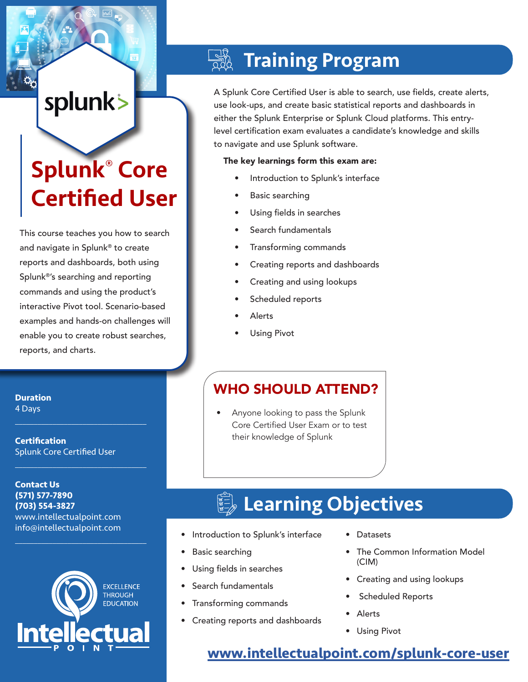# splunk>

# Splunk® Core Certified User

This course teaches you how to search and navigate in Splunk® to create reports and dashboards, both using Splunk®'s searching and reporting commands and using the product's interactive Pivot tool. Scenario-based examples and hands-on challenges will enable you to create robust searches, reports, and charts.

**Duration** 4 Days

**Certification** Splunk Core Certified User

 $\mathcal{L}_\text{max}$  and  $\mathcal{L}_\text{max}$  and  $\mathcal{L}_\text{max}$  and  $\mathcal{L}_\text{max}$ 

 $\mathcal{L}_\text{max}$  , and the set of the set of the set of the set of the set of the set of the set of the set of the set of the set of the set of the set of the set of the set of the set of the set of the set of the set of the

 $\mathcal{L}_\text{max}$  and  $\mathcal{L}_\text{max}$  and  $\mathcal{L}_\text{max}$  and  $\mathcal{L}_\text{max}$ 

**Contact Us (571) 577-7890 (703) 554-3827** www.intellectualpoint.com info@intellectualpoint.com



## Training Program

A Splunk Core Certified User is able to search, use fields, create alerts, use look-ups, and create basic statistical reports and dashboards in either the Splunk Enterprise or Splunk Cloud platforms. This entrylevel certification exam evaluates a candidate's knowledge and skills to navigate and use Splunk software.

#### The key learnings form this exam are:

- Introduction to Splunk's interface
- Basic searching
- Using fields in searches
- Search fundamentals
- Transforming commands
- Creating reports and dashboards
- Creating and using lookups
- Scheduled reports
- **Alerts**
- **Using Pivot**

### WHO SHOULD ATTEND?

• Anyone looking to pass the Splunk Core Certified User Exam or to test their knowledge of Splunk

## **Learning Objectives**

- Introduction to Splunk's interface
- Basic searching
- Using fields in searches
- Search fundamentals
- Transforming commands
- Creating reports and dashboards
- Datasets
- The Common Information Model (CIM)
- Creating and using lookups
- Scheduled Reports
- **Alerts**
- Using Pivot

### **[www.intellectualpoint.com/s](https://www.intellectualpoint.com/product/splunk-core-certified-user/)plunk-core-user**